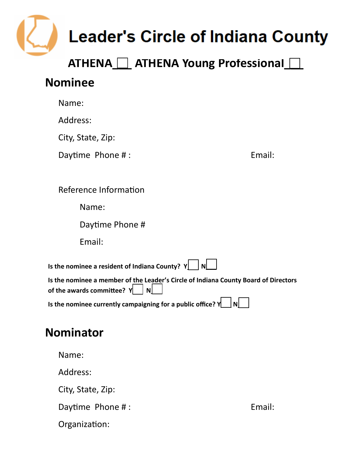

## **ATHENA\_\_\_ ATHENA Young Professional\_\_\_**

## **Nominee**

|                                                                                                                            | Name:                                                                       |        |  |  |  |  |
|----------------------------------------------------------------------------------------------------------------------------|-----------------------------------------------------------------------------|--------|--|--|--|--|
|                                                                                                                            | Address:                                                                    |        |  |  |  |  |
|                                                                                                                            | City, State, Zip:                                                           |        |  |  |  |  |
|                                                                                                                            | Daytime Phone #:                                                            | Email: |  |  |  |  |
|                                                                                                                            |                                                                             |        |  |  |  |  |
|                                                                                                                            | Reference Information                                                       |        |  |  |  |  |
|                                                                                                                            | Name:                                                                       |        |  |  |  |  |
|                                                                                                                            | Daytime Phone #                                                             |        |  |  |  |  |
|                                                                                                                            | Email:                                                                      |        |  |  |  |  |
| Is the nominee a resident of Indiana County? $Y$<br>l Nl                                                                   |                                                                             |        |  |  |  |  |
| Is the nominee a member of the Leader's Circle of Indiana County Board of Directors<br>of the awards committee? $Y \cup N$ |                                                                             |        |  |  |  |  |
|                                                                                                                            | Is the nominee currently campaigning for a public office? $Y$<br><u>INL</u> |        |  |  |  |  |
|                                                                                                                            | <b>Nominator</b>                                                            |        |  |  |  |  |
|                                                                                                                            | Name:                                                                       |        |  |  |  |  |

Address: City, State, Zip: Daytime Phone #: Sample 2014 and 2014 and 2014 and 2014 and 2014 and 2014 and 2014 and 2014 and 2014 and 2014 and 2014 and 2014 and 2014 and 2014 and 2014 and 2014 and 2014 and 2014 and 2014 and 2014 and 2014 and 2014 and

Organization: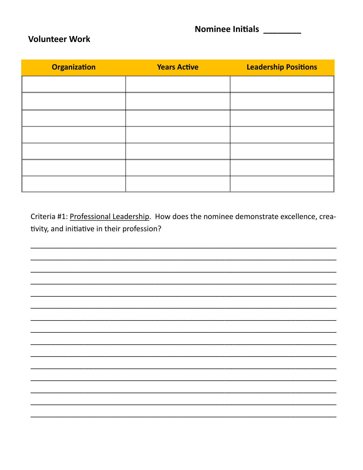**Nominee Initials** 

## **Volunteer Work**

| <b>Organization</b> | <b>Years Active</b> | <b>Leadership Positions</b> |
|---------------------|---------------------|-----------------------------|
|                     |                     |                             |
|                     |                     |                             |
|                     |                     |                             |
|                     |                     |                             |
|                     |                     |                             |
|                     |                     |                             |
|                     |                     |                             |

Criteria #1: Professional Leadership. How does the nominee demonstrate excellence, creativity, and initiative in their profession?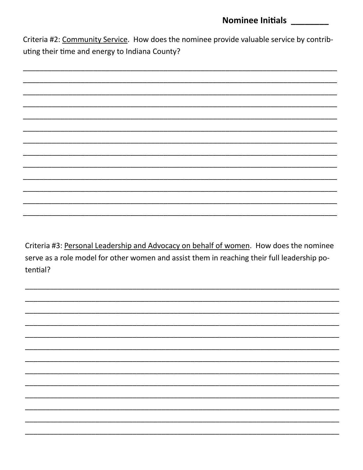## **Nominee Initials**

Criteria #2: Community Service. How does the nominee provide valuable service by contributing their time and energy to Indiana County?

Criteria #3: Personal Leadership and Advocacy on behalf of women. How does the nominee serve as a role model for other women and assist them in reaching their full leadership potential?